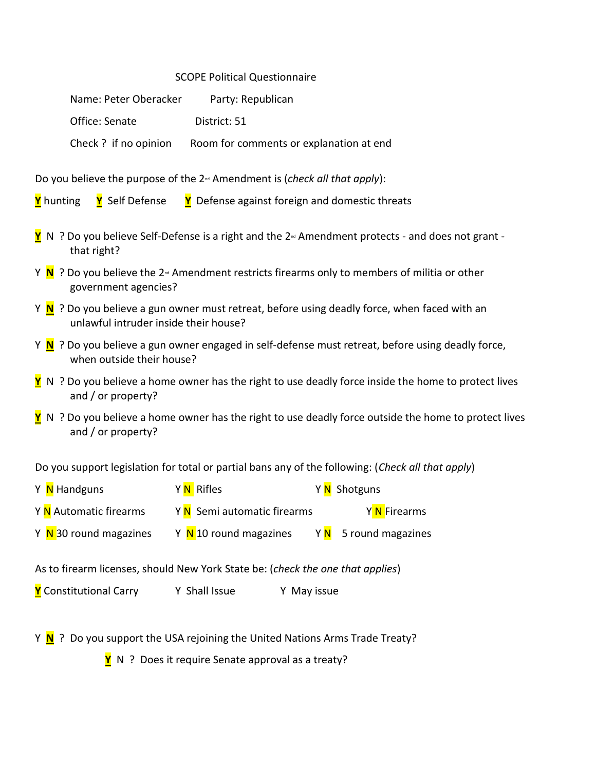## SCOPE Political Questionnaire

| Name: Peter Oberacker | Party: Republican                       |
|-----------------------|-----------------------------------------|
| Office: Senate        | District: 51                            |
| Check ? if no opinion | Room for comments or explanation at end |

Do you believe the purpose of the 2nd Amendment is (*check all that apply*):

**Y** hunting **Y** Self Defense **Y** Defense against foreign and domestic threats

- **Y** N ? Do you believe Self-Defense is a right and the 2<sup>*™*</sup> Amendment protects and does not grant that right?
- Y **N** ? Do you believe the 2<sup>nd</sup> Amendment restricts firearms only to members of militia or other government agencies?
- Y **N** ? Do you believe a gun owner must retreat, before using deadly force, when faced with an unlawful intruder inside their house?
- Y **N** ? Do you believe a gun owner engaged in self-defense must retreat, before using deadly force, when outside their house?
- **Y** N ? Do you believe a home owner has the right to use deadly force inside the home to protect lives and / or property?
- **Y** N ? Do you believe a home owner has the right to use deadly force outside the home to protect lives and / or property?

Do you support legislation for total or partial bans any of the following: (*Check all that apply*)

Y <mark>N</mark> Handguns Y N Rifles Y N Shotguns Y <mark>N</mark> Automatic firearms Y N Semi automatic firearms Y N Firearms Y N 30 round magazines Y N 10 round magazines Y N 5 round magazines

As to firearm licenses, should New York State be: (*check the one that applies*)

**Y** Constitutional Carry Y Shall Issue Y May issue

Y **N** ? Do you support the USA rejoining the United Nations Arms Trade Treaty?

**Y** N ? Does it require Senate approval as a treaty?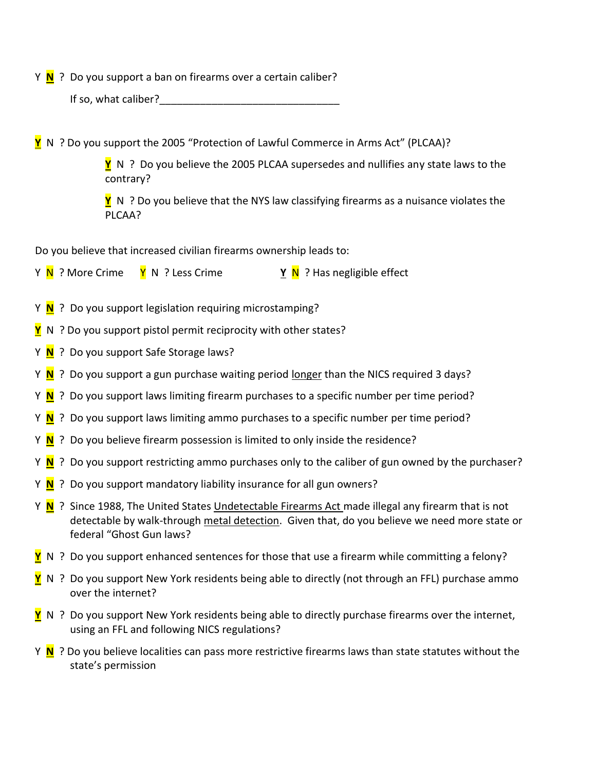Y **N** ? Do you support a ban on firearms over a certain caliber?

If so, what caliber?

**Y** N ? Do you support the 2005 "Protection of Lawful Commerce in Arms Act" (PLCAA)?

**Y** N ? Do you believe the 2005 PLCAA supersedes and nullifies any state laws to the contrary?

**Y** N ? Do you believe that the NYS law classifying firearms as a nuisance violates the PLCAA?

Do you believe that increased civilian firearms ownership leads to:

- Y **N** ? More Crime **Y** N ? Less Crime **Y N** ? Has negligible effect
- Y **N** ? Do you support legislation requiring microstamping?
- **Y** N ? Do you support pistol permit reciprocity with other states?
- Y **N** ? Do you support Safe Storage laws?
- Y **N** ? Do you support a gun purchase waiting period longer than the NICS required 3 days?
- Y **N** ? Do you support laws limiting firearm purchases to a specific number per time period?
- Y **N** ? Do you support laws limiting ammo purchases to a specific number per time period?
- Y **N** ? Do you believe firearm possession is limited to only inside the residence?
- Y **N** ? Do you support restricting ammo purchases only to the caliber of gun owned by the purchaser?
- Y **N** ? Do you support mandatory liability insurance for all gun owners?
- Y **N** ? Since 1988, The United States Undetectable Firearms Act made illegal any firearm that is not detectable by walk-through [metal detection.](https://en.wikipedia.org/wiki/Metal_detector) Given that, do you believe we need more state or federal "Ghost Gun laws?
- **Y** N ? Do you support enhanced sentences for those that use a firearm while committing a felony?
- **Y** N ? Do you support New York residents being able to directly (not through an FFL) purchase ammo over the internet?
- **Y** N ? Do you support New York residents being able to directly purchase firearms over the internet, using an FFL and following NICS regulations?
- Y **N** ? Do you believe localities can pass more restrictive firearms laws than state statutes without the state's permission